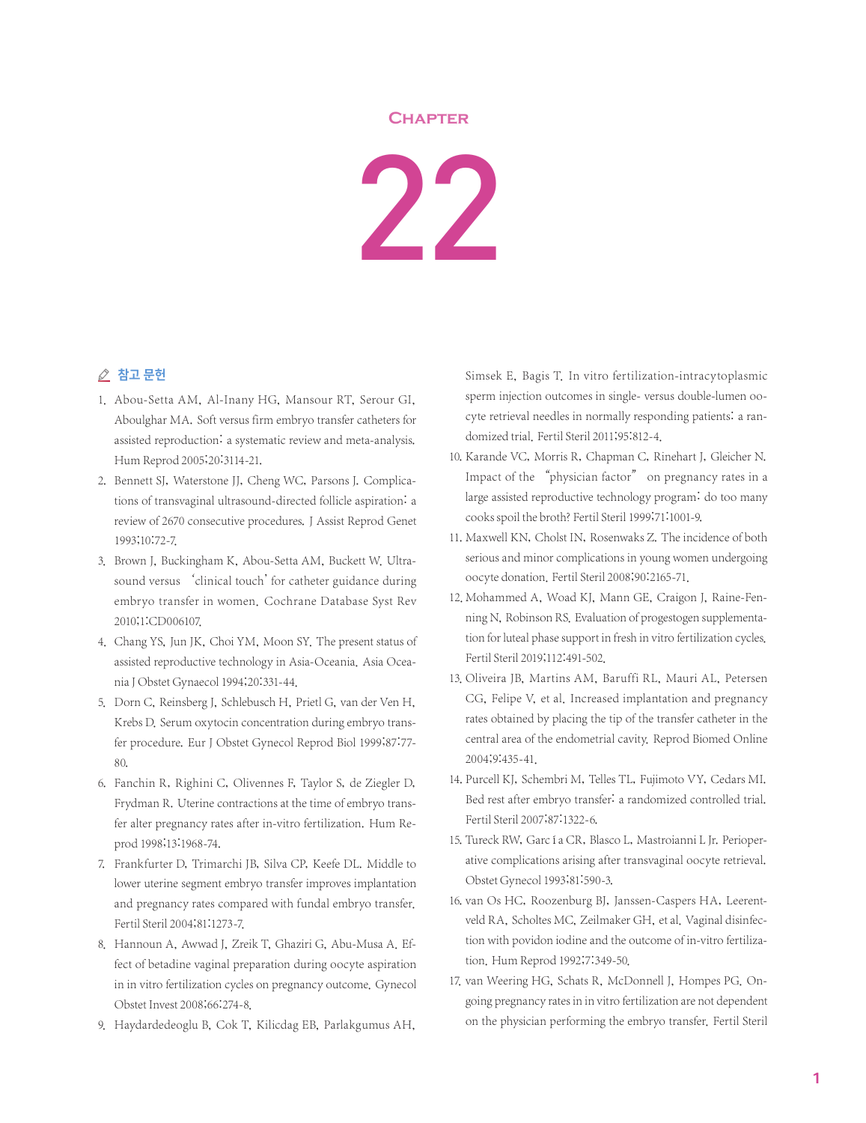## **Chapter**

22

## △ 참고 문헌

- 1. Abou-Setta AM, Al-Inany HG, Mansour RT, Serour GI, Aboulghar MA. Soft versus firm embryo transfer catheters for assisted reproduction: a systematic review and meta-analysis. Hum Reprod 2005;20:3114-21.
- 2. Bennett SJ, Waterstone JJ, Cheng WC, Parsons J. Complications of transvaginal ultrasound-directed follicle aspiration: a review of 2670 consecutive procedures. J Assist Reprod Genet 1993;10:72-7.
- 3. Brown J, Buckingham K, Abou-Setta AM, Buckett W. Ultrasound versus 'clinical touch' for catheter guidance during embryo transfer in women. Cochrane Database Syst Rev 2010;1:CD006107.
- 4. Chang YS, Jun JK, Choi YM, Moon SY. The present status of assisted reproductive technology in Asia-Oceania. Asia Oceania J Obstet Gynaecol 1994;20:331-44.
- 5. Dorn C, Reinsberg J, Schlebusch H, Prietl G, van der Ven H, Krebs D. Serum oxytocin concentration during embryo transfer procedure. Eur J Obstet Gynecol Reprod Biol 1999;87:77- 80.
- 6. Fanchin R, Righini C, Olivennes F, Taylor S, de Ziegler D, Frydman R. Uterine contractions at the time of embryo transfer alter pregnancy rates after in-vitro fertilization. Hum Reprod 1998;13:1968-74.
- 7. Frankfurter D, Trimarchi JB, Silva CP, Keefe DL. Middle to lower uterine segment embryo transfer improves implantation and pregnancy rates compared with fundal embryo transfer. Fertil Steril 2004;81:1273-7.
- 8. Hannoun A, Awwad J, Zreik T, Ghaziri G, Abu-Musa A, Effect of betadine vaginal preparation during oocyte aspiration in in vitro fertilization cycles on pregnancy outcome. Gynecol Obstet Invest 2008;66:274-8.
- 9. Haydardedeoglu B, Cok T, Kilicdag EB, Parlakgumus AH,

Simsek E, Bagis T. In vitro fertilization-intracytoplasmic sperm injection outcomes in single- versus double-lumen oocyte retrieval needles in normally responding patients: a randomized trial. Fertil Steril 2011;95:812-4.

- 10. Karande VC, Morris R, Chapman C, Rinehart J, Gleicher N. Impact of the "physician factor" on pregnancy rates in a large assisted reproductive technology program: do too many cooks spoil the broth? Fertil Steril 1999;71:1001-9.
- 11. Maxwell KN, Cholst IN, Rosenwaks Z. The incidence of both serious and minor complications in young women undergoing oocyte donation. Fertil Steril 2008;90:2165-71.
- 12. Mohammed A, Woad KJ, Mann GE, Craigon J, Raine-Fenning N, Robinson RS. Evaluation of progestogen supplementation for luteal phase support in fresh in vitro fertilization cycles. Fertil Steril 2019;112:491-502.
- 13. Oliveira JB, Martins AM, Baruffi RL, Mauri AL, Petersen CG, Felipe V, et al. Increased implantation and pregnancy rates obtained by placing the tip of the transfer catheter in the central area of the endometrial cavity. Reprod Biomed Online 2004;9:435-41.
- 14. Purcell KJ, Schembri M, Telles TL, Fujimoto VY, Cedars MI. Bed rest after embryo transfer: a randomized controlled trial. Fertil Steril 2007;87:1322-6.
- 15. Tureck RW, García CR, Blasco L, Mastroianni L Jr. Perioperative complications arising after transvaginal oocyte retrieval. Obstet Gynecol 1993;81:590-3.
- 16. van Os HC, Roozenburg BJ, Janssen-Caspers HA, Leerentveld RA, Scholtes MC, Zeilmaker GH, et al. Vaginal disinfection with povidon iodine and the outcome of in-vitro fertilization. Hum Reprod 1992;7:349-50.
- 17. van Weering HG, Schats R, McDonnell J, Hompes PG. Ongoing pregnancy rates in in vitro fertilization are not dependent on the physician performing the embryo transfer. Fertil Steril